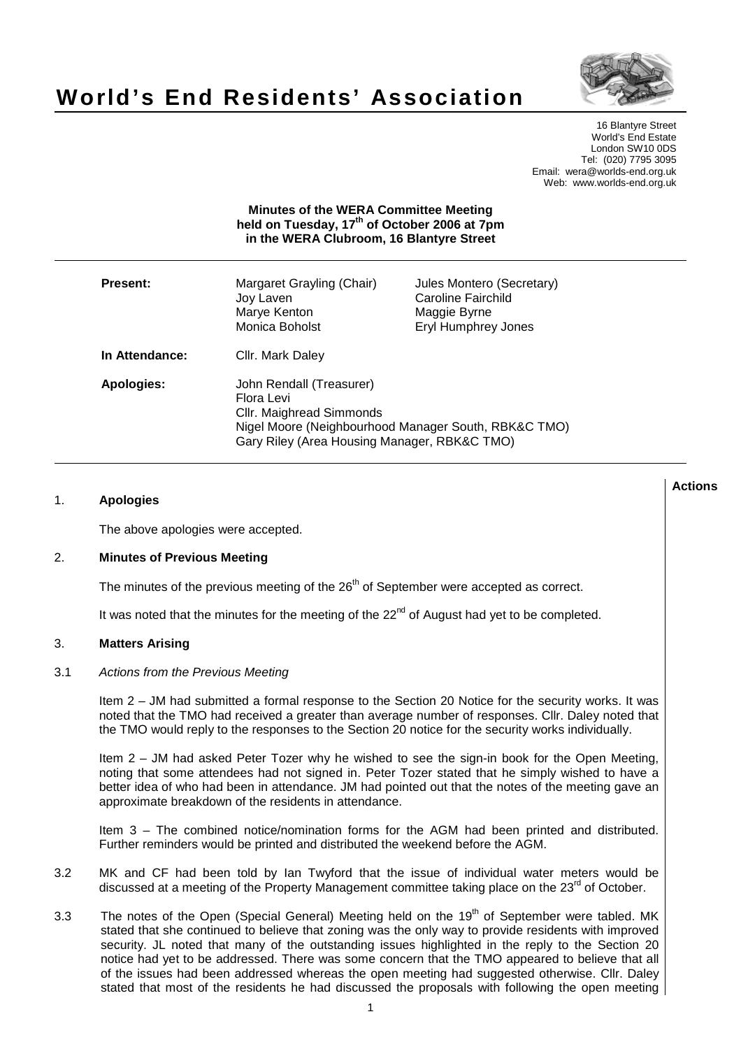

# **World's End Residents' Association**

16 Blantyre Street World's End Estate London SW10 0DS Tel: (020) 7795 3095 Email: wera@worlds-end.org.uk Web: www.worlds-end.org.uk

# **Minutes of the WERA Committee Meeting held on Tuesday, 17th of October 2006 at 7pm in the WERA Clubroom, 16 Blantyre Street**

| <b>Present:</b> | Margaret Grayling (Chair)<br>Joy Laven<br>Marye Kenton<br>Monica Boholst                                                                                                   | Jules Montero (Secretary)<br>Caroline Fairchild<br>Maggie Byrne<br><b>Eryl Humphrey Jones</b> |
|-----------------|----------------------------------------------------------------------------------------------------------------------------------------------------------------------------|-----------------------------------------------------------------------------------------------|
| In Attendance:  | Cllr. Mark Daley                                                                                                                                                           |                                                                                               |
| Apologies:      | John Rendall (Treasurer)<br>Flora Levi<br>Cllr. Maighread Simmonds<br>Nigel Moore (Neighbourhood Manager South, RBK&C TMO)<br>Gary Riley (Area Housing Manager, RBK&C TMO) |                                                                                               |

# 1. **Apologies**

The above apologies were accepted.

# 2. **Minutes of Previous Meeting**

The minutes of the previous meeting of the  $26<sup>th</sup>$  of September were accepted as correct.

It was noted that the minutes for the meeting of the 22<sup>nd</sup> of August had yet to be completed.

#### 3. **Matters Arising**

#### 3.1 Actions from the Previous Meeting

Item 2 – JM had submitted a formal response to the Section 20 Notice for the security works. It was noted that the TMO had received a greater than average number of responses. Cllr. Daley noted that the TMO would reply to the responses to the Section 20 notice for the security works individually.

Item 2 – JM had asked Peter Tozer why he wished to see the sign-in book for the Open Meeting, noting that some attendees had not signed in. Peter Tozer stated that he simply wished to have a better idea of who had been in attendance. JM had pointed out that the notes of the meeting gave an approximate breakdown of the residents in attendance.

Item 3 – The combined notice/nomination forms for the AGM had been printed and distributed. Further reminders would be printed and distributed the weekend before the AGM.

- 3.2 MK and CF had been told by Ian Twyford that the issue of individual water meters would be discussed at a meeting of the Property Management committee taking place on the 23<sup>rd</sup> of October.
- 3.3 The notes of the Open (Special General) Meeting held on the 19<sup>th</sup> of September were tabled. MK stated that she continued to believe that zoning was the only way to provide residents with improved security. JL noted that many of the outstanding issues highlighted in the reply to the Section 20 notice had yet to be addressed. There was some concern that the TMO appeared to believe that all of the issues had been addressed whereas the open meeting had suggested otherwise. Cllr. Daley stated that most of the residents he had discussed the proposals with following the open meeting

**Actions**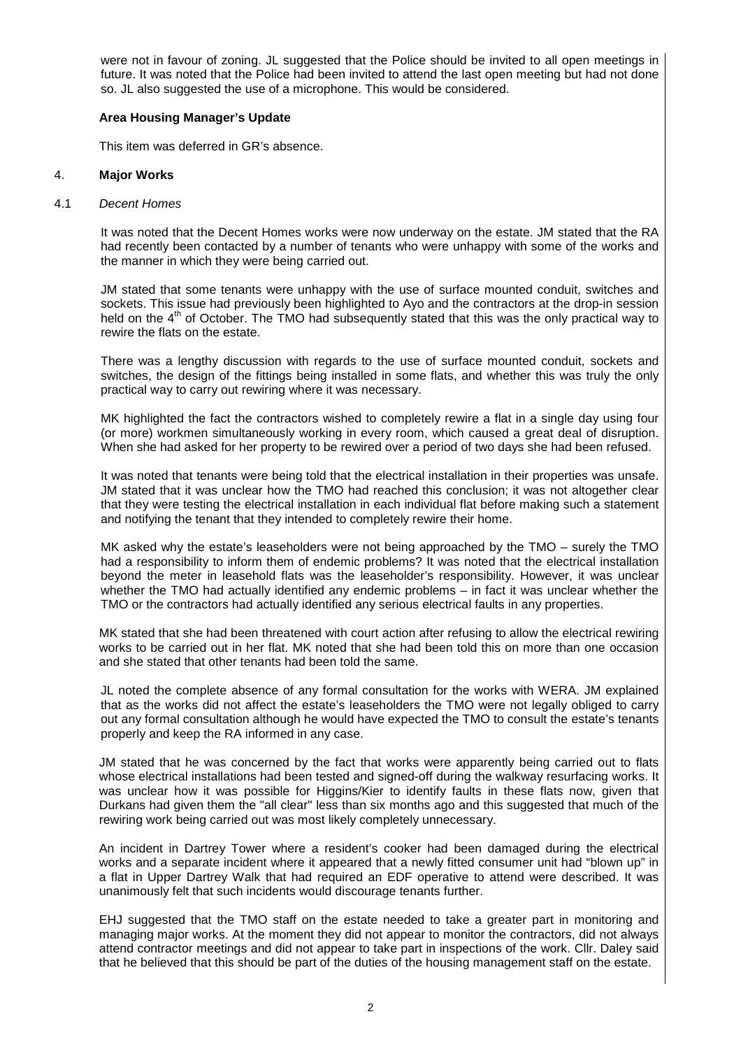were not in favour of zoning. JL suggested that the Police should be invited to all open meetings in future. It was noted that the Police had been invited to attend the last open meeting but had not done so. JL also suggested the use of a microphone. This would be considered.

## **Area Housing Manager's Update**

This item was deferred in GR's absence.

### 4. **Major Works**

#### 4.1 Decent Homes

It was noted that the Decent Homes works were now underway on the estate. JM stated that the RA had recently been contacted by a number of tenants who were unhappy with some of the works and the manner in which they were being carried out.

JM stated that some tenants were unhappy with the use of surface mounted conduit, switches and sockets. This issue had previously been highlighted to Ayo and the contractors at the drop-in session held on the 4<sup>th</sup> of October. The TMO had subsequently stated that this was the only practical way to rewire the flats on the estate.

There was a lengthy discussion with regards to the use of surface mounted conduit, sockets and switches, the design of the fittings being installed in some flats, and whether this was truly the only practical way to carry out rewiring where it was necessary.

MK highlighted the fact the contractors wished to completely rewire a flat in a single day using four (or more) workmen simultaneously working in every room, which caused a great deal of disruption. When she had asked for her property to be rewired over a period of two days she had been refused.

It was noted that tenants were being told that the electrical installation in their properties was unsafe. JM stated that it was unclear how the TMO had reached this conclusion; it was not altogether clear that they were testing the electrical installation in each individual flat before making such a statement and notifying the tenant that they intended to completely rewire their home.

MK asked why the estate's leaseholders were not being approached by the TMO – surely the TMO had a responsibility to inform them of endemic problems? It was noted that the electrical installation beyond the meter in leasehold flats was the leaseholder's responsibility. However, it was unclear whether the TMO had actually identified any endemic problems – in fact it was unclear whether the TMO or the contractors had actually identified any serious electrical faults in any properties.

MK stated that she had been threatened with court action after refusing to allow the electrical rewiring works to be carried out in her flat. MK noted that she had been told this on more than one occasion and she stated that other tenants had been told the same.

JL noted the complete absence of any formal consultation for the works with WERA. JM explained that as the works did not affect the estate's leaseholders the TMO were not legally obliged to carry out any formal consultation although he would have expected the TMO to consult the estate's tenants properly and keep the RA informed in any case.

JM stated that he was concerned by the fact that works were apparently being carried out to flats whose electrical installations had been tested and signed-off during the walkway resurfacing works. It was unclear how it was possible for Higgins/Kier to identify faults in these flats now, given that Durkans had given them the "all clear" less than six months ago and this suggested that much of the rewiring work being carried out was most likely completely unnecessary.

An incident in Dartrey Tower where a resident's cooker had been damaged during the electrical works and a separate incident where it appeared that a newly fitted consumer unit had "blown up" in a flat in Upper Dartrey Walk that had required an EDF operative to attend were described. It was unanimously felt that such incidents would discourage tenants further.

EHJ suggested that the TMO staff on the estate needed to take a greater part in monitoring and managing major works. At the moment they did not appear to monitor the contractors, did not always attend contractor meetings and did not appear to take part in inspections of the work. Cllr. Daley said that he believed that this should be part of the duties of the housing management staff on the estate.